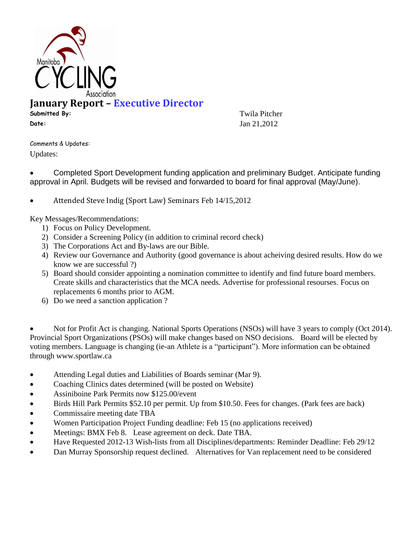

## **January Report – Executive Director**

**Submitted By:** Twila Pitcher **Date: Jan 21,2012** 

Comments & Updates: Updates:

 Completed Sport Development funding application and preliminary Budget. Anticipate funding approval in April. Budgets will be revised and forwarded to board for final approval (May/June).

Attended Steve Indig (Sport Law) Seminars Feb 14/15,2012

Key Messages/Recommendations:

- 1) Focus on Policy Development.
- 2) Consider a Screening Policy (in addition to criminal record check)
- 3) The Corporations Act and By-laws are our Bible.
- 4) Review our Governance and Authority (good governance is about acheiving desired results. How do we know we are successful ?)
- 5) Board should consider appointing a nomination committee to identify and find future board members. Create skills and characteristics that the MCA needs. Advertise for professional resourses. Focus on replacements 6 months prior to AGM.
- 6) Do we need a sanction application ?

 Not for Profit Act is changing. National Sports Operations (NSOs) will have 3 years to comply (Oct 2014). Provincial Sport Organizations (PSOs) will make changes based on NSO decisions. Board will be elected by voting members. Language is changing (ie-an Athlete is a "participant"). More information can be obtained through www.sportlaw.ca

- Attending Legal duties and Liabilities of Boards seminar (Mar 9).
- Coaching Clinics dates determined (will be posted on Website)
- Assiniboine Park Permits now \$125.00/event
- Birds Hill Park Permits \$52.10 per permit. Up from \$10.50. Fees for changes. (Park fees are back)
- Commissaire meeting date TBA
- Women Participation Project Funding deadline: Feb 15 (no applications received)
- Meetings: BMX Feb 8. Lease agreement on deck. Date TBA.
- Have Requested 2012-13 Wish-lists from all Disciplines/departments: Reminder Deadline: Feb 29/12
- Dan Murray Sponsorship request declined. Alternatives for Van replacement need to be considered